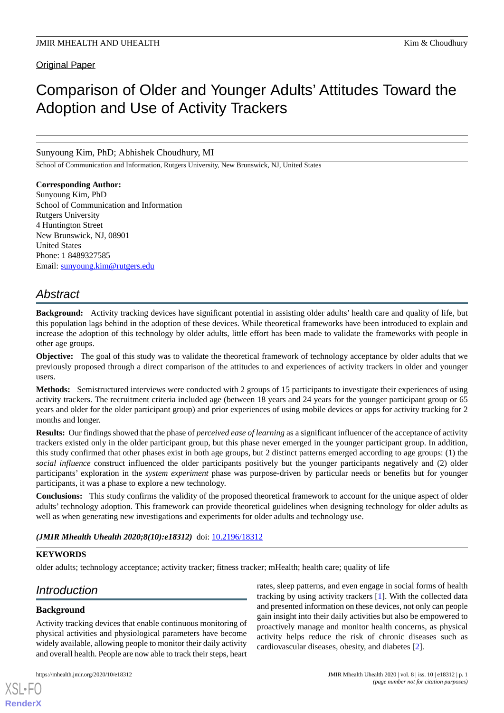## Original Paper

# Comparison of Older and Younger Adults' Attitudes Toward the Adoption and Use of Activity Trackers

Sunyoung Kim, PhD; Abhishek Choudhury, MI

School of Communication and Information, Rutgers University, New Brunswick, NJ, United States

## **Corresponding Author:**

Sunyoung Kim, PhD School of Communication and Information Rutgers University 4 Huntington Street New Brunswick, NJ, 08901 United States Phone: 1 8489327585 Email: [sunyoung.kim@rutgers.edu](mailto:sunyoung.kim@rutgers.edu)

## *Abstract*

**Background:** Activity tracking devices have significant potential in assisting older adults' health care and quality of life, but this population lags behind in the adoption of these devices. While theoretical frameworks have been introduced to explain and increase the adoption of this technology by older adults, little effort has been made to validate the frameworks with people in other age groups.

**Objective:** The goal of this study was to validate the theoretical framework of technology acceptance by older adults that we previously proposed through a direct comparison of the attitudes to and experiences of activity trackers in older and younger users.

**Methods:** Semistructured interviews were conducted with 2 groups of 15 participants to investigate their experiences of using activity trackers. The recruitment criteria included age (between 18 years and 24 years for the younger participant group or 65 years and older for the older participant group) and prior experiences of using mobile devices or apps for activity tracking for 2 months and longer.

**Results:** Our findings showed that the phase of *perceived ease of learning* as a significant influencer of the acceptance of activity trackers existed only in the older participant group, but this phase never emerged in the younger participant group. In addition, this study confirmed that other phases exist in both age groups, but 2 distinct patterns emerged according to age groups: (1) the *social influence* construct influenced the older participants positively but the younger participants negatively and (2) older participants' exploration in the *system experiment* phase was purpose-driven by particular needs or benefits but for younger participants, it was a phase to explore a new technology.

**Conclusions:** This study confirms the validity of the proposed theoretical framework to account for the unique aspect of older adults' technology adoption. This framework can provide theoretical guidelines when designing technology for older adults as well as when generating new investigations and experiments for older adults and technology use.

## *(JMIR Mhealth Uhealth 2020;8(10):e18312)* doi: [10.2196/18312](http://dx.doi.org/10.2196/18312)

## **KEYWORDS**

older adults; technology acceptance; activity tracker; fitness tracker; mHealth; health care; quality of life

## *Introduction*

## **Background**

[XSL](http://www.w3.org/Style/XSL)•FO **[RenderX](http://www.renderx.com/)**

Activity tracking devices that enable continuous monitoring of physical activities and physiological parameters have become widely available, allowing people to monitor their daily activity and overall health. People are now able to track their steps, heart

rates, sleep patterns, and even engage in social forms of health tracking by using activity trackers [\[1](#page-7-0)]. With the collected data and presented information on these devices, not only can people gain insight into their daily activities but also be empowered to proactively manage and monitor health concerns, as physical activity helps reduce the risk of chronic diseases such as cardiovascular diseases, obesity, and diabetes [[2\]](#page-7-1).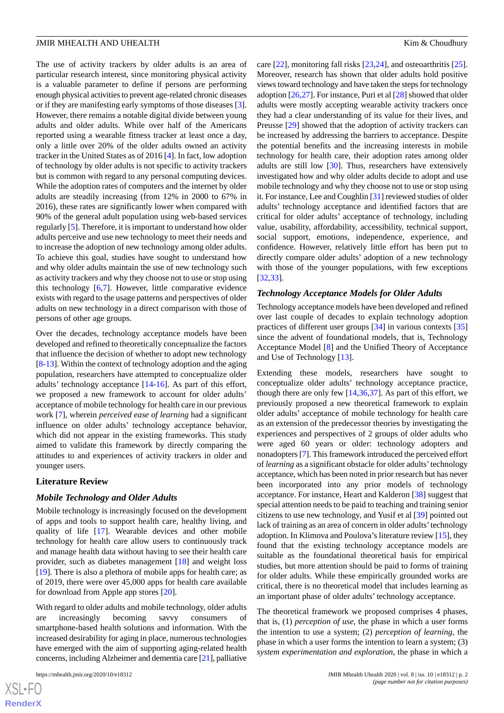The use of activity trackers by older adults is an area of particular research interest, since monitoring physical activity is a valuable parameter to define if persons are performing enough physical activities to prevent age-related chronic diseases or if they are manifesting early symptoms of those diseases [[3\]](#page-7-2). However, there remains a notable digital divide between young adults and older adults. While over half of the Americans reported using a wearable fitness tracker at least once a day, only a little over 20% of the older adults owned an activity tracker in the United States as of 2016 [\[4](#page-7-3)]. In fact, low adoption of technology by older adults is not specific to activity trackers but is common with regard to any personal computing devices. While the adoption rates of computers and the internet by older adults are steadily increasing (from 12% in 2000 to 67% in 2016), these rates are significantly lower when compared with 90% of the general adult population using web-based services regularly [[5\]](#page-7-4). Therefore, it is important to understand how older adults perceive and use new technology to meet their needs and to increase the adoption of new technology among older adults. To achieve this goal, studies have sought to understand how and why older adults maintain the use of new technology such as activity trackers and why they choose not to use or stop using this technology [\[6](#page-7-5),[7](#page-7-6)]. However, little comparative evidence exists with regard to the usage patterns and perspectives of older adults on new technology in a direct comparison with those of persons of other age groups.

Over the decades, technology acceptance models have been developed and refined to theoretically conceptualize the factors that influence the decision of whether to adopt new technology [[8-](#page-7-7)[13](#page-8-0)]. Within the context of technology adoption and the aging population, researchers have attempted to conceptualize older adults' technology acceptance [\[14](#page-8-1)[-16](#page-8-2)]. As part of this effort, we proposed a new framework to account for older adults' acceptance of mobile technology for health care in our previous work [[7\]](#page-7-6), wherein *perceived ease of learning* had a significant influence on older adults' technology acceptance behavior, which did not appear in the existing frameworks. This study aimed to validate this framework by directly comparing the attitudes to and experiences of activity trackers in older and younger users.

#### **Literature Review**

#### *Mobile Technology and Older Adults*

Mobile technology is increasingly focused on the development of apps and tools to support health care, healthy living, and quality of life [\[17](#page-8-3)]. Wearable devices and other mobile technology for health care allow users to continuously track and manage health data without having to see their health care provider, such as diabetes management [\[18](#page-8-4)] and weight loss [[19\]](#page-8-5). There is also a plethora of mobile apps for health care; as of 2019, there were over 45,000 apps for health care available for download from Apple app stores [\[20](#page-8-6)].

With regard to older adults and mobile technology, older adults are increasingly becoming savvy consumers smartphone-based health solutions and information. With the increased desirability for aging in place, numerous technologies have emerged with the aim of supporting aging-related health concerns, including Alzheimer and dementia care [\[21](#page-8-7)], palliative

care [\[22](#page-8-8)], monitoring fall risks [\[23](#page-8-9),[24\]](#page-8-10), and osteoarthritis [[25\]](#page-8-11). Moreover, research has shown that older adults hold positive views toward technology and have taken the steps for technology adoption [[26](#page-8-12)[,27](#page-8-13)]. For instance, Puri et al [[28\]](#page-8-14) showed that older adults were mostly accepting wearable activity trackers once they had a clear understanding of its value for their lives, and Preusse [\[29](#page-8-15)] showed that the adoption of activity trackers can be increased by addressing the barriers to acceptance. Despite the potential benefits and the increasing interests in mobile technology for health care, their adoption rates among older adults are still low [\[30](#page-8-16)]. Thus, researchers have extensively investigated how and why older adults decide to adopt and use mobile technology and why they choose not to use or stop using it. For instance, Lee and Coughlin [\[31](#page-8-17)] reviewed studies of older adults' technology acceptance and identified factors that are critical for older adults' acceptance of technology, including value, usability, affordability, accessibility, technical support, social support, emotions, independence, experience, and confidence. However, relatively little effort has been put to directly compare older adults' adoption of a new technology with those of the younger populations, with few exceptions [[32,](#page-8-18)[33\]](#page-8-19).

#### *Technology Acceptance Models for Older Adults*

Technology acceptance models have been developed and refined over last couple of decades to explain technology adoption practices of different user groups [\[34](#page-8-20)] in various contexts [\[35](#page-9-0)] since the advent of foundational models, that is, Technology Acceptance Model [[8\]](#page-7-7) and the Unified Theory of Acceptance and Use of Technology [\[13](#page-8-0)].

Extending these models, researchers have sought to conceptualize older adults' technology acceptance practice, though there are only few [[14,](#page-8-1)[36](#page-9-1),[37\]](#page-9-2). As part of this effort, we previously proposed a new theoretical framework to explain older adults' acceptance of mobile technology for health care as an extension of the predecessor theories by investigating the experiences and perspectives of 2 groups of older adults who were aged 60 years or older: technology adopters and nonadopters [[7\]](#page-7-6). This framework introduced the perceived effort of *learning* as a significant obstacle for older adults'technology acceptance, which has been noted in prior research but has never been incorporated into any prior models of technology acceptance. For instance, Heart and Kalderon [[38\]](#page-9-3) suggest that special attention needs to be paid to teaching and training senior citizens to use new technology, and Yusif et al [\[39](#page-9-4)] pointed out lack of training as an area of concern in older adults'technology adoption. In Klimova and Poulova's literature review [[15\]](#page-8-21), they found that the existing technology acceptance models are suitable as the foundational theoretical basis for empirical studies, but more attention should be paid to forms of training for older adults. While these empirically grounded works are critical, there is no theoretical model that includes learning as an important phase of older adults' technology acceptance.

The theoretical framework we proposed comprises 4 phases, that is, (1) *perception of use*, the phase in which a user forms the intention to use a system; (2) *perception of learning*, the phase in which a user forms the intention to learn a system; (3) *system experimentation and exploration*, the phase in which a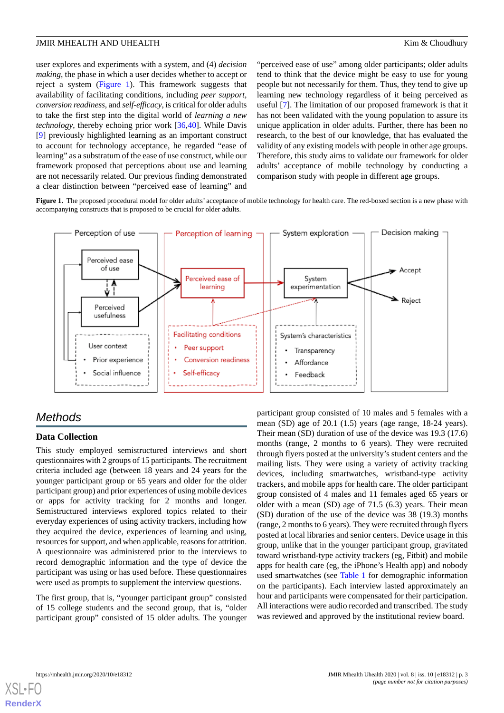user explores and experiments with a system, and (4) *decision making*, the phase in which a user decides whether to accept or reject a system ([Figure 1\)](#page-2-0). This framework suggests that availability of facilitating conditions, including *peer support, conversion readiness,* and *self-efficacy*, is critical for older adults to take the first step into the digital world of *learning a new technology*, thereby echoing prior work [\[36](#page-9-1),[40\]](#page-9-5). While Davis [[9\]](#page-7-8) previously highlighted learning as an important construct to account for technology acceptance, he regarded "ease of learning" as a substratum of the ease of use construct, while our framework proposed that perceptions about use and learning are not necessarily related. Our previous finding demonstrated a clear distinction between "perceived ease of learning" and

"perceived ease of use" among older participants; older adults tend to think that the device might be easy to use for young people but not necessarily for them. Thus, they tend to give up learning new technology regardless of it being perceived as useful [\[7](#page-7-6)]. The limitation of our proposed framework is that it has not been validated with the young population to assure its unique application in older adults. Further, there has been no research, to the best of our knowledge, that has evaluated the validity of any existing models with people in other age groups. Therefore, this study aims to validate our framework for older adults' acceptance of mobile technology by conducting a comparison study with people in different age groups.

<span id="page-2-0"></span>Figure 1. The proposed procedural model for older adults' acceptance of mobile technology for health care. The red-boxed section is a new phase with accompanying constructs that is proposed to be crucial for older adults.



## *Methods*

## **Data Collection**

This study employed semistructured interviews and short questionnaires with 2 groups of 15 participants. The recruitment criteria included age (between 18 years and 24 years for the younger participant group or 65 years and older for the older participant group) and prior experiences of using mobile devices or apps for activity tracking for 2 months and longer. Semistructured interviews explored topics related to their everyday experiences of using activity trackers, including how they acquired the device, experiences of learning and using, resources for support, and when applicable, reasons for attrition. A questionnaire was administered prior to the interviews to record demographic information and the type of device the participant was using or has used before. These questionnaires were used as prompts to supplement the interview questions.

The first group, that is, "younger participant group" consisted of 15 college students and the second group, that is, "older participant group" consisted of 15 older adults. The younger participant group consisted of 10 males and 5 females with a mean (SD) age of 20.1 (1.5) years (age range, 18-24 years). Their mean (SD) duration of use of the device was 19.3 (17.6) months (range, 2 months to 6 years). They were recruited through flyers posted at the university's student centers and the mailing lists. They were using a variety of activity tracking devices, including smartwatches, wristband-type activity trackers, and mobile apps for health care. The older participant group consisted of 4 males and 11 females aged 65 years or older with a mean (SD) age of 71.5 (6.3) years. Their mean (SD) duration of the use of the device was 38 (19.3) months (range, 2 months to 6 years). They were recruited through flyers posted at local libraries and senior centers. Device usage in this group, unlike that in the younger participant group, gravitated toward wristband-type activity trackers (eg, Fitbit) and mobile apps for health care (eg, the iPhone's Health app) and nobody used smartwatches (see [Table 1](#page-3-0) for demographic information on the participants). Each interview lasted approximately an hour and participants were compensated for their participation. All interactions were audio recorded and transcribed. The study was reviewed and approved by the institutional review board.

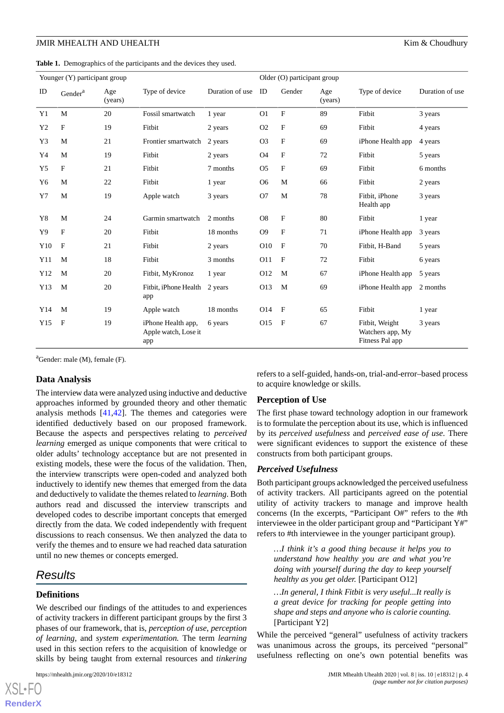<span id="page-3-0"></span>**Table 1.** Demographics of the participants and the devices they used.

| Younger (Y) participant group |                     |                |                                                   |                 | Older (O) participant group |              |                |                                                       |                 |
|-------------------------------|---------------------|----------------|---------------------------------------------------|-----------------|-----------------------------|--------------|----------------|-------------------------------------------------------|-----------------|
| ID                            | Gender <sup>a</sup> | Age<br>(years) | Type of device                                    | Duration of use | ID                          | Gender       | Age<br>(years) | Type of device                                        | Duration of use |
| Y <sub>1</sub>                | M                   | 20             | Fossil smartwatch                                 | 1 year          | O <sub>1</sub>              | $\mathbf F$  | 89             | Fitbit                                                | 3 years         |
| Y <sub>2</sub>                | F                   | 19             | Fitbit                                            | 2 years         | O <sub>2</sub>              | F            | 69             | Fitbit                                                | 4 years         |
| Y3                            | M                   | 21             | Frontier smartwatch                               | 2 years         | O <sub>3</sub>              | F            | 69             | iPhone Health app                                     | 4 years         |
| Y4                            | M                   | 19             | Fitbit                                            | 2 years         | <b>O4</b>                   | F            | 72             | Fitbit                                                | 5 years         |
| Y <sub>5</sub>                | $\mathbf{F}$        | 21             | Fitbit                                            | 7 months        | O <sub>5</sub>              | $\mathbf{F}$ | 69             | Fitbit                                                | 6 months        |
| Y6                            | M                   | 22             | Fitbit                                            | 1 year          | O <sub>6</sub>              | M            | 66             | Fitbit                                                | 2 years         |
| Y7                            | M                   | 19             | Apple watch                                       | 3 years         | O7                          | M            | 78             | Fitbit, iPhone<br>Health app                          | 3 years         |
| Y8                            | M                   | 24             | Garmin smartwatch                                 | 2 months        | O <sub>8</sub>              | F            | 80             | Fitbit                                                | 1 year          |
| Y9                            | F                   | 20             | Fitbit                                            | 18 months       | O <sub>9</sub>              | F            | 71             | iPhone Health app                                     | 3 years         |
| Y10                           | $\mathbf F$         | 21             | Fitbit                                            | 2 years         | O10                         | $\mathbf{F}$ | 70             | Fitbit, H-Band                                        | 5 years         |
| Y11                           | M                   | 18             | Fitbit                                            | 3 months        | O11                         | $\mathbf{F}$ | 72             | Fitbit                                                | 6 years         |
| Y12                           | M                   | 20             | Fitbit, MyKronoz                                  | 1 year          | O12                         | M            | 67             | iPhone Health app                                     | 5 years         |
| Y13                           | M                   | 20             | Fitbit, iPhone Health<br>app                      | 2 years         | O13                         | M            | 69             | iPhone Health app                                     | 2 months        |
| Y14                           | M                   | 19             | Apple watch                                       | 18 months       | O14                         | $\mathbf{F}$ | 65             | Fitbit                                                | 1 year          |
| Y15                           | $\mathbf{F}$        | 19             | iPhone Health app,<br>Apple watch, Lose it<br>app | 6 years         | O15                         | $\mathbf{F}$ | 67             | Fitbit, Weight<br>Watchers app, My<br>Fitness Pal app | 3 years         |

 ${}^{a}$ Gender: male (M), female (F).

#### **Data Analysis**

The interview data were analyzed using inductive and deductive approaches informed by grounded theory and other thematic analysis methods [\[41](#page-9-6),[42\]](#page-9-7). The themes and categories were identified deductively based on our proposed framework. Because the aspects and perspectives relating to *perceived learning* emerged as unique components that were critical to older adults' technology acceptance but are not presented in existing models, these were the focus of the validation. Then, the interview transcripts were open-coded and analyzed both inductively to identify new themes that emerged from the data and deductively to validate the themes related to *learning*. Both authors read and discussed the interview transcripts and developed codes to describe important concepts that emerged directly from the data. We coded independently with frequent discussions to reach consensus. We then analyzed the data to verify the themes and to ensure we had reached data saturation until no new themes or concepts emerged.

## *Results*

#### **Definitions**

[XSL](http://www.w3.org/Style/XSL)•FO **[RenderX](http://www.renderx.com/)**

We described our findings of the attitudes to and experiences of activity trackers in different participant groups by the first 3 phases of our framework, that is, *perception of use*, *perception of learning*, and *system experimentation.* The term *learning* used in this section refers to the acquisition of knowledge or skills by being taught from external resources and *tinkering*

refers to a self-guided, hands-on, trial-and-error–based process to acquire knowledge or skills.

#### **Perception of Use**

The first phase toward technology adoption in our framework is to formulate the perception about its use, which is influenced by its *perceived usefulness* and *perceived ease of use*. There were significant evidences to support the existence of these constructs from both participant groups.

#### *Perceived Usefulness*

Both participant groups acknowledged the perceived usefulness of activity trackers. All participants agreed on the potential utility of activity trackers to manage and improve health concerns (In the excerpts, "Participant O#" refers to the #th interviewee in the older participant group and "Participant Y#" refers to #th interviewee in the younger participant group).

*…I think it's a good thing because it helps you to understand how healthy you are and what you're doing with yourself during the day to keep yourself healthy as you get older.* [Participant O12]

*…In general, I think Fitbit is very useful...It really is a great device for tracking for people getting into shape and steps and anyone who is calorie counting.* [Participant Y2]

While the perceived "general" usefulness of activity trackers was unanimous across the groups, its perceived "personal" usefulness reflecting on one's own potential benefits was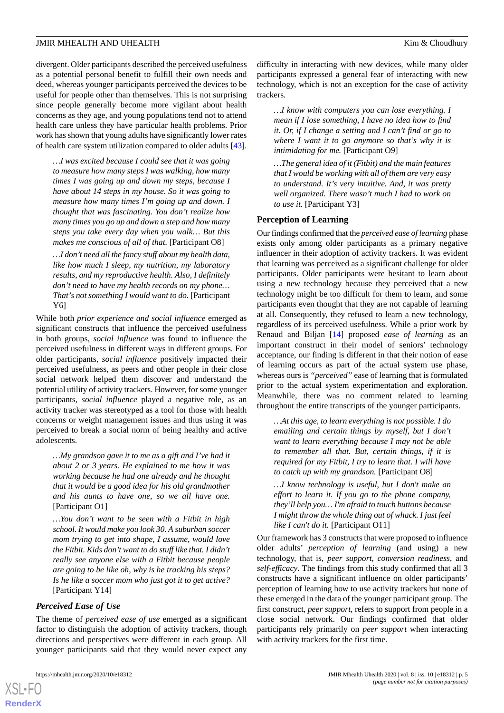divergent. Older participants described the perceived usefulness as a potential personal benefit to fulfill their own needs and deed, whereas younger participants perceived the devices to be useful for people other than themselves. This is not surprising since people generally become more vigilant about health concerns as they age, and young populations tend not to attend health care unless they have particular health problems. Prior work has shown that young adults have significantly lower rates of health care system utilization compared to older adults [[43\]](#page-9-8).

*…I was excited because I could see that it was going to measure how many steps I was walking, how many times I was going up and down my steps, because I have about 14 steps in my house. So it was going to measure how many times I'm going up and down. I thought that was fascinating. You don't realize how many times you go up and down a step and how many steps you take every day when you walk… But this makes me conscious of all of that.* [Participant O8]

*…I don't need all the fancy stuff about my health data, like how much I sleep, my nutrition, my laboratory results, and my reproductive health. Also, I definitely don't need to have my health records on my phone… That's not something I would want to do.* [Participant Y6]

While both *prior experience and social influence* emerged as significant constructs that influence the perceived usefulness in both groups, *social influence* was found to influence the perceived usefulness in different ways in different groups. For older participants, *social influence* positively impacted their perceived usefulness, as peers and other people in their close social network helped them discover and understand the potential utility of activity trackers. However, for some younger participants, *social influence* played a negative role, as an activity tracker was stereotyped as a tool for those with health concerns or weight management issues and thus using it was perceived to break a social norm of being healthy and active adolescents.

*…My grandson gave it to me as a gift and I've had it about 2 or 3 years. He explained to me how it was working because he had one already and he thought that it would be a good idea for his old grandmother and his aunts to have one, so we all have one.* [Participant O1]

*…You don't want to be seen with a Fitbit in high school. It would make you look 30. A suburban soccer mom trying to get into shape, I assume, would love the Fitbit. Kids don't want to do stuff like that. I didn't really see anyone else with a Fitbit because people are going to be like oh, why is he tracking his steps? Is he like a soccer mom who just got it to get active?* [Participant Y14]

## *Perceived Ease of Use*

The theme of *perceived ease of use* emerged as a significant factor to distinguish the adoption of activity trackers, though directions and perspectives were different in each group. All younger participants said that they would never expect any

difficulty in interacting with new devices, while many older participants expressed a general fear of interacting with new technology, which is not an exception for the case of activity trackers.

*…I know with computers you can lose everything. I mean if I lose something, I have no idea how to find it. Or, if I change a setting and I can't find or go to where I want it to go anymore so that's why it is intimidating for me.* [Participant O9]

*…The general idea of it (Fitbit) and the main features that I would be working with all of them are very easy to understand. It's very intuitive. And, it was pretty well organized. There wasn't much I had to work on to use it.* [Participant Y3]

#### **Perception of Learning**

Our findings confirmed that the *perceived ease of learning* phase exists only among older participants as a primary negative influencer in their adoption of activity trackers. It was evident that learning was perceived as a significant challenge for older participants. Older participants were hesitant to learn about using a new technology because they perceived that a new technology might be too difficult for them to learn, and some participants even thought that they are not capable of learning at all. Consequently, they refused to learn a new technology, regardless of its perceived usefulness. While a prior work by Renaud and Biljan [[14\]](#page-8-1) proposed *ease of learning* as an important construct in their model of seniors' technology acceptance, our finding is different in that their notion of ease of learning occurs as part of the actual system use phase, whereas ours is *"perceived"* ease of learning that is formulated prior to the actual system experimentation and exploration. Meanwhile, there was no comment related to learning throughout the entire transcripts of the younger participants.

*…At this age, to learn everything is not possible. I do emailing and certain things by myself, but I don't want to learn everything because I may not be able to remember all that. But, certain things, if it is required for my Fitbit, I try to learn that. I will have to catch up with my grandson.* [Participant O8]

*…I know technology is useful, but I don't make an effort to learn it. If you go to the phone company, they'll help you… I'm afraid to touch buttons because I might throw the whole thing out of whack. I just feel like I can't do it.* [Participant O11]

Our framework has 3 constructs that were proposed to influence older adults' *perception of learning* (and using) a new technology, that is, *peer support*, *conversion readiness*, and *self-efficacy*. The findings from this study confirmed that all 3 constructs have a significant influence on older participants' perception of learning how to use activity trackers but none of these emerged in the data of the younger participant group. The first construct, *peer support,* refers to support from people in a close social network. Our findings confirmed that older participants rely primarily on *peer support* when interacting with activity trackers for the first time.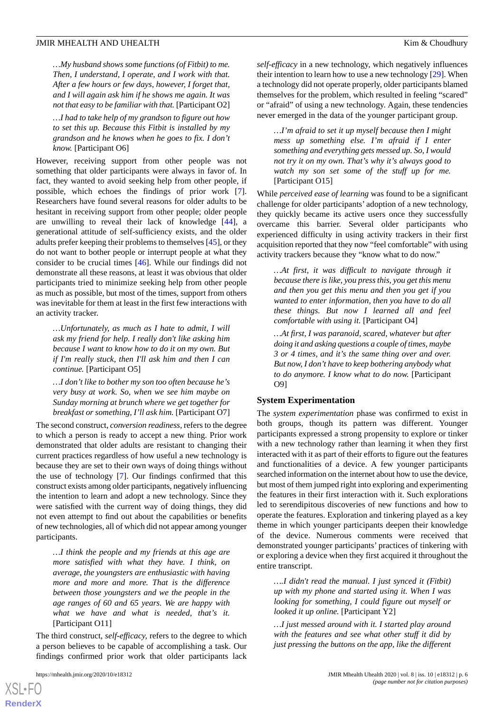*…My husband shows some functions (of Fitbit) to me. Then, I understand, I operate, and I work with that. After a few hours or few days, however, I forget that, and I will again ask him if he shows me again. It was not that easy to be familiar with that.* [Participant O2]

*…I had to take help of my grandson to figure out how to set this up. Because this Fitbit is installed by my grandson and he knows when he goes to fix. I don't know.* [Participant O6]

However, receiving support from other people was not something that older participants were always in favor of. In fact, they wanted to avoid seeking help from other people, if possible, which echoes the findings of prior work [[7\]](#page-7-6). Researchers have found several reasons for older adults to be hesitant in receiving support from other people; older people are unwilling to reveal their lack of knowledge [\[44](#page-9-9)], a generational attitude of self-sufficiency exists, and the older adults prefer keeping their problems to themselves [\[45](#page-9-10)], or they do not want to bother people or interrupt people at what they consider to be crucial times [[46\]](#page-9-11). While our findings did not demonstrate all these reasons, at least it was obvious that older participants tried to minimize seeking help from other people as much as possible, but most of the times, support from others was inevitable for them at least in the first few interactions with an activity tracker.

*…Unfortunately, as much as I hate to admit, I will ask my friend for help. I really don't like asking him because I want to know how to do it on my own. But if I'm really stuck, then I'll ask him and then I can continue.* [Participant O5]

*…I don't like to bother my son too often because he's very busy at work. So, when we see him maybe on Sunday morning at brunch where we get together for breakfast or something, I'll ask him.* [Participant O7]

The second construct, *conversion readiness,* refers to the degree to which a person is ready to accept a new thing. Prior work demonstrated that older adults are resistant to changing their current practices regardless of how useful a new technology is because they are set to their own ways of doing things without the use of technology [\[7](#page-7-6)]. Our findings confirmed that this construct exists among older participants, negatively influencing the intention to learn and adopt a new technology. Since they were satisfied with the current way of doing things, they did not even attempt to find out about the capabilities or benefits of new technologies, all of which did not appear among younger participants.

*…I think the people and my friends at this age are more satisfied with what they have. I think, on average, the youngsters are enthusiastic with having more and more and more. That is the difference between those youngsters and we the people in the age ranges of 60 and 65 years. We are happy with what we have and what is needed, that's it.* [Participant O11]

The third construct, *self-efficacy,* refers to the degree to which a person believes to be capable of accomplishing a task. Our findings confirmed prior work that older participants lack

[XSL](http://www.w3.org/Style/XSL)•FO **[RenderX](http://www.renderx.com/)**

*self-efficacy* in a new technology, which negatively influences their intention to learn how to use a new technology [\[29](#page-8-15)]. When a technology did not operate properly, older participants blamed themselves for the problem, which resulted in feeling "scared" or "afraid" of using a new technology. Again, these tendencies never emerged in the data of the younger participant group.

*…I'm afraid to set it up myself because then I might mess up something else. I'm afraid if I enter something and everything gets messed up. So, I would not try it on my own. That's why it's always good to watch my son set some of the stuff up for me.* [Participant O15]

While *perceived ease of learning* was found to be a significant challenge for older participants' adoption of a new technology, they quickly became its active users once they successfully overcame this barrier. Several older participants who experienced difficulty in using activity trackers in their first acquisition reported that they now "feel comfortable" with using activity trackers because they "know what to do now."

*…At first, it was difficult to navigate through it because there is like, you press this, you get this menu and then you get this menu and then you get if you wanted to enter information, then you have to do all these things. But now I learned all and feel comfortable with using it.* [Participant O4]

*…At first, I was paranoid, scared, whatever but after doing it and asking questions a couple of times, maybe 3 or 4 times, and it's the same thing over and over. But now, I don't have to keep bothering anybody what to do anymore. I know what to do now.* [Participant O9]

#### **System Experimentation**

The *system experimentation* phase was confirmed to exist in both groups, though its pattern was different. Younger participants expressed a strong propensity to explore or tinker with a new technology rather than learning it when they first interacted with it as part of their efforts to figure out the features and functionalities of a device. A few younger participants searched information on the internet about how to use the device, but most of them jumped right into exploring and experimenting the features in their first interaction with it. Such explorations led to serendipitous discoveries of new functions and how to operate the features. Exploration and tinkering played as a key theme in which younger participants deepen their knowledge of the device. Numerous comments were received that demonstrated younger participants' practices of tinkering with or exploring a device when they first acquired it throughout the entire transcript.

*….I didn't read the manual. I just synced it (Fitbit) up with my phone and started using it. When I was looking for something, I could figure out myself or looked it up online.* [Participant Y2]

*…I just messed around with it. I started play around with the features and see what other stuff it did by just pressing the buttons on the app, like the different*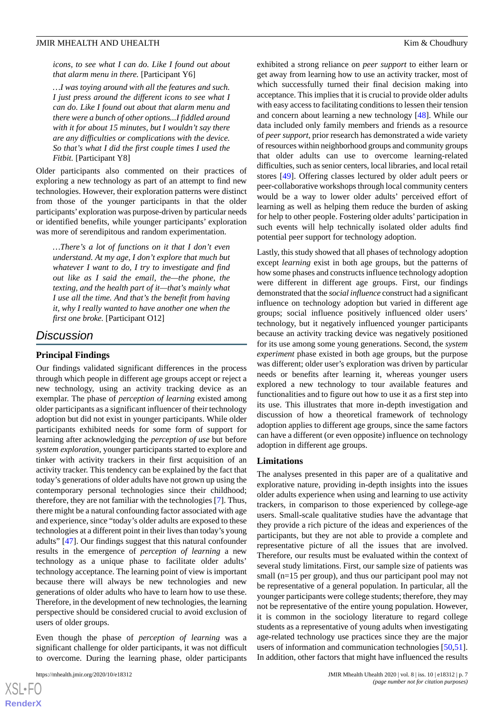*icons, to see what I can do. Like I found out about that alarm menu in there.* [Participant Y6]

*…I was toying around with all the features and such. I just press around the different icons to see what I can do. Like I found out about that alarm menu and there were a bunch of other options...I fiddled around with it for about 15 minutes, but I wouldn't say there are any difficulties or complications with the device. So that's what I did the first couple times I used the Fitbit.* [Participant Y8]

Older participants also commented on their practices of exploring a new technology as part of an attempt to find new technologies. However, their exploration patterns were distinct from those of the younger participants in that the older participants' exploration was purpose-driven by particular needs or identified benefits, while younger participants' exploration was more of serendipitous and random experimentation.

*…There's a lot of functions on it that I don't even understand. At my age, I don't explore that much but whatever I want to do, I try to investigate and find out like as I said the email, the—the phone, the texting, and the health part of it—that's mainly what I use all the time. And that's the benefit from having it, why I really wanted to have another one when the first one broke.* [Participant O12]

## *Discussion*

#### **Principal Findings**

Our findings validated significant differences in the process through which people in different age groups accept or reject a new technology, using an activity tracking device as an exemplar. The phase of *perception of learning* existed among older participants as a significant influencer of their technology adoption but did not exist in younger participants. While older participants exhibited needs for some form of support for learning after acknowledging the *perception of use* but before *system exploration*, younger participants started to explore and tinker with activity trackers in their first acquisition of an activity tracker. This tendency can be explained by the fact that today's generations of older adults have not grown up using the contemporary personal technologies since their childhood; therefore, they are not familiar with the technologies [\[7](#page-7-6)]. Thus, there might be a natural confounding factor associated with age and experience, since "today's older adults are exposed to these technologies at a different point in their lives than today's young adults" [[47\]](#page-9-12). Our findings suggest that this natural confounder results in the emergence of *perception of learning* a new technology as a unique phase to facilitate older adults' technology acceptance. The learning point of view is important because there will always be new technologies and new generations of older adults who have to learn how to use these. Therefore, in the development of new technologies, the learning perspective should be considered crucial to avoid exclusion of users of older groups.

Even though the phase of *perception of learning* was a significant challenge for older participants, it was not difficult to overcome. During the learning phase, older participants

exhibited a strong reliance on *peer support* to either learn or get away from learning how to use an activity tracker, most of which successfully turned their final decision making into acceptance. This implies that it is crucial to provide older adults with easy access to facilitating conditions to lessen their tension and concern about learning a new technology [\[48](#page-9-13)]. While our data included only family members and friends as a resource of *peer support*, prior research has demonstrated a wide variety of resources within neighborhood groups and community groups that older adults can use to overcome learning-related difficulties, such as senior centers, local libraries, and local retail stores [[49\]](#page-9-14). Offering classes lectured by older adult peers or peer-collaborative workshops through local community centers would be a way to lower older adults' perceived effort of learning as well as helping them reduce the burden of asking for help to other people. Fostering older adults' participation in such events will help technically isolated older adults find potential peer support for technology adoption.

Lastly, this study showed that all phases of technology adoption except *learning* exist in both age groups, but the patterns of how some phases and constructs influence technology adoption were different in different age groups. First, our findings demonstrated that the *social influence* construct had a significant influence on technology adoption but varied in different age groups; social influence positively influenced older users' technology, but it negatively influenced younger participants because an activity tracking device was negatively positioned for its use among some young generations. Second, the *system experiment* phase existed in both age groups, but the purpose was different; older user's exploration was driven by particular needs or benefits after learning it, whereas younger users explored a new technology to tour available features and functionalities and to figure out how to use it as a first step into its use. This illustrates that more in-depth investigation and discussion of how a theoretical framework of technology adoption applies to different age groups, since the same factors can have a different (or even opposite) influence on technology adoption in different age groups.

### **Limitations**

The analyses presented in this paper are of a qualitative and explorative nature, providing in-depth insights into the issues older adults experience when using and learning to use activity trackers, in comparison to those experienced by college-age users. Small-scale qualitative studies have the advantage that they provide a rich picture of the ideas and experiences of the participants, but they are not able to provide a complete and representative picture of all the issues that are involved. Therefore, our results must be evaluated within the context of several study limitations. First, our sample size of patients was small (n=15 per group), and thus our participant pool may not be representative of a general population. In particular, all the younger participants were college students; therefore, they may not be representative of the entire young population. However, it is common in the sociology literature to regard college students as a representative of young adults when investigating age-related technology use practices since they are the major users of information and communication technologies [\[50](#page-9-15),[51\]](#page-9-16). In addition, other factors that might have influenced the results

```
XS-FO
RenderX
```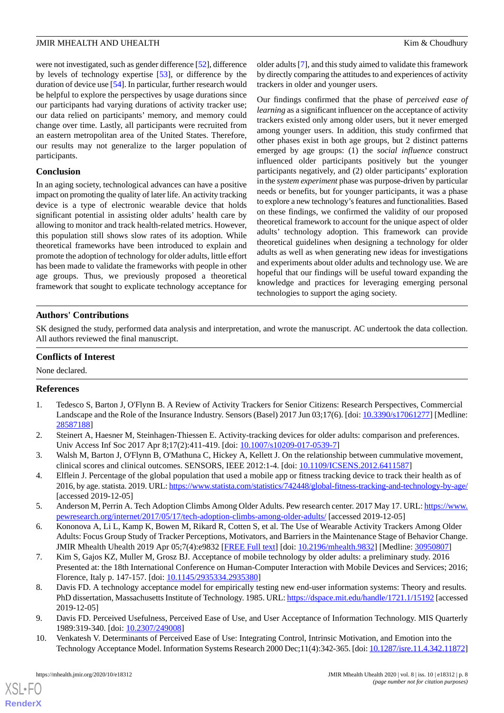were not investigated, such as gender difference [\[52](#page-9-17)], difference by levels of technology expertise [\[53](#page-9-18)], or difference by the duration of device use [[54\]](#page-9-19). In particular, further research would be helpful to explore the perspectives by usage durations since our participants had varying durations of activity tracker use; our data relied on participants' memory, and memory could change over time. Lastly, all participants were recruited from an eastern metropolitan area of the United States. Therefore, our results may not generalize to the larger population of participants.

### **Conclusion**

In an aging society, technological advances can have a positive impact on promoting the quality of later life. An activity tracking device is a type of electronic wearable device that holds significant potential in assisting older adults' health care by allowing to monitor and track health-related metrics. However, this population still shows slow rates of its adoption. While theoretical frameworks have been introduced to explain and promote the adoption of technology for older adults, little effort has been made to validate the frameworks with people in other age groups. Thus, we previously proposed a theoretical framework that sought to explicate technology acceptance for

older adults [\[7](#page-7-6)], and this study aimed to validate this framework by directly comparing the attitudes to and experiences of activity trackers in older and younger users.

Our findings confirmed that the phase of *perceived ease of learning* as a significant influencer on the acceptance of activity trackers existed only among older users, but it never emerged among younger users. In addition, this study confirmed that other phases exist in both age groups, but 2 distinct patterns emerged by age groups: (1) the *social influence* construct influenced older participants positively but the younger participants negatively, and (2) older participants' exploration in the *system experiment* phase was purpose-driven by particular needs or benefits, but for younger participants, it was a phase to explore a new technology's features and functionalities. Based on these findings, we confirmed the validity of our proposed theoretical framework to account for the unique aspect of older adults' technology adoption. This framework can provide theoretical guidelines when designing a technology for older adults as well as when generating new ideas for investigations and experiments about older adults and technology use. We are hopeful that our findings will be useful toward expanding the knowledge and practices for leveraging emerging personal technologies to support the aging society.

## **Authors' Contributions**

SK designed the study, performed data analysis and interpretation, and wrote the manuscript. AC undertook the data collection. All authors reviewed the final manuscript.

## <span id="page-7-0"></span>**Conflicts of Interest**

None declared.

#### <span id="page-7-1"></span>**References**

- <span id="page-7-2"></span>1. Tedesco S, Barton J, O'Flynn B. A Review of Activity Trackers for Senior Citizens: Research Perspectives, Commercial Landscape and the Role of the Insurance Industry. Sensors (Basel) 2017 Jun 03;17(6). [doi: [10.3390/s17061277\]](http://dx.doi.org/10.3390/s17061277) [Medline: [28587188](http://www.ncbi.nlm.nih.gov/entrez/query.fcgi?cmd=Retrieve&db=PubMed&list_uids=28587188&dopt=Abstract)]
- <span id="page-7-3"></span>2. Steinert A, Haesner M, Steinhagen-Thiessen E. Activity-tracking devices for older adults: comparison and preferences. Univ Access Inf Soc 2017 Apr 8;17(2):411-419. [doi: [10.1007/s10209-017-0539-7\]](http://dx.doi.org/10.1007/s10209-017-0539-7)
- <span id="page-7-4"></span>3. Walsh M, Barton J, O'Flynn B, O'Mathuna C, Hickey A, Kellett J. On the relationship between cummulative movement, clinical scores and clinical outcomes. SENSORS, IEEE 2012:1-4. [doi: [10.1109/ICSENS.2012.6411587\]](http://dx.doi.org/10.1109/ICSENS.2012.6411587)
- <span id="page-7-5"></span>4. Elflein J. Percentage of the global population that used a mobile app or fitness tracking device to track their health as of 2016, by age. statista. 2019. URL:<https://www.statista.com/statistics/742448/global-fitness-tracking-and-technology-by-age/> [accessed 2019-12-05]
- <span id="page-7-6"></span>5. Anderson M, Perrin A. Tech Adoption Climbs Among Older Adults. Pew research center. 2017 May 17. URL: [https://www.](https://www.pewresearch.org/internet/2017/05/17/tech-adoption-climbs-among-older-adults/) [pewresearch.org/internet/2017/05/17/tech-adoption-climbs-among-older-adults/](https://www.pewresearch.org/internet/2017/05/17/tech-adoption-climbs-among-older-adults/) [accessed 2019-12-05]
- <span id="page-7-7"></span>6. Kononova A, Li L, Kamp K, Bowen M, Rikard R, Cotten S, et al. The Use of Wearable Activity Trackers Among Older Adults: Focus Group Study of Tracker Perceptions, Motivators, and Barriers in the Maintenance Stage of Behavior Change. JMIR Mhealth Uhealth 2019 Apr 05;7(4):e9832 [[FREE Full text](https://mhealth.jmir.org/2019/4/e9832/)] [doi: [10.2196/mhealth.9832](http://dx.doi.org/10.2196/mhealth.9832)] [Medline: [30950807](http://www.ncbi.nlm.nih.gov/entrez/query.fcgi?cmd=Retrieve&db=PubMed&list_uids=30950807&dopt=Abstract)]
- <span id="page-7-8"></span>7. Kim S, Gajos KZ, Muller M, Grosz BJ. Acceptance of mobile technology by older adults: a preliminary study. 2016 Presented at: the 18th International Conference on Human-Computer Interaction with Mobile Devices and Services; 2016; Florence, Italy p. 147-157. [doi: [10.1145/2935334.2935380\]](http://dx.doi.org/10.1145/2935334.2935380)
- 8. Davis FD. A technology acceptance model for empirically testing new end-user information systems: Theory and results. PhD dissertation, Massachusetts Institute of Technology. 1985. URL:<https://dspace.mit.edu/handle/1721.1/15192> [accessed 2019-12-05]
- 9. Davis FD. Perceived Usefulness, Perceived Ease of Use, and User Acceptance of Information Technology. MIS Quarterly 1989:319-340. [doi: [10.2307/249008](http://dx.doi.org/10.2307/249008)]
- 10. Venkatesh V. Determinants of Perceived Ease of Use: Integrating Control, Intrinsic Motivation, and Emotion into the Technology Acceptance Model. Information Systems Research 2000 Dec;11(4):342-365. [doi: [10.1287/isre.11.4.342.11872\]](http://dx.doi.org/10.1287/isre.11.4.342.11872)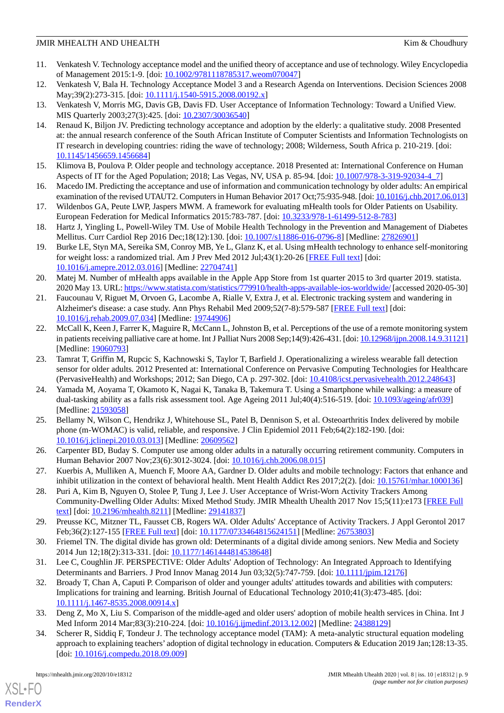- 11. Venkatesh V. Technology acceptance model and the unified theory of acceptance and use of technology. Wiley Encyclopedia of Management 2015:1-9. [doi: [10.1002/9781118785317.weom070047\]](http://dx.doi.org/10.1002/9781118785317.weom070047)
- <span id="page-8-0"></span>12. Venkatesh V, Bala H. Technology Acceptance Model 3 and a Research Agenda on Interventions. Decision Sciences 2008 May;39(2):273-315. [doi: [10.1111/j.1540-5915.2008.00192.x](http://dx.doi.org/10.1111/j.1540-5915.2008.00192.x)]
- <span id="page-8-1"></span>13. Venkatesh V, Morris MG, Davis GB, Davis FD. User Acceptance of Information Technology: Toward a Unified View. MIS Quarterly 2003;27(3):425. [doi: [10.2307/30036540\]](http://dx.doi.org/10.2307/30036540)
- 14. Renaud K, Biljon JV. Predicting technology acceptance and adoption by the elderly: a qualitative study. 2008 Presented at: the annual research conference of the South African Institute of Computer Scientists and Information Technologists on IT research in developing countries: riding the wave of technology; 2008; Wilderness, South Africa p. 210-219. [doi: [10.1145/1456659.1456684](http://dx.doi.org/10.1145/1456659.1456684)]
- <span id="page-8-21"></span><span id="page-8-2"></span>15. Klimova B, Poulova P. Older people and technology acceptance. 2018 Presented at: International Conference on Human Aspects of IT for the Aged Population; 2018; Las Vegas, NV, USA p. 85-94. [doi: [10.1007/978-3-319-92034-4\\_7\]](http://dx.doi.org/10.1007/978-3-319-92034-4_7)
- <span id="page-8-3"></span>16. Macedo IM. Predicting the acceptance and use of information and communication technology by older adults: An empirical examination of the revised UTAUT2. Computers in Human Behavior 2017 Oct;75:935-948. [doi: [10.1016/j.chb.2017.06.013](http://dx.doi.org/10.1016/j.chb.2017.06.013)]
- <span id="page-8-4"></span>17. Wildenbos GA, Peute LWP, Jaspers MWM. A framework for evaluating mHealth tools for Older Patients on Usability. European Federation for Medical Informatics 2015:783-787. [doi: [10.3233/978-1-61499-512-8-783](http://dx.doi.org/10.3233/978-1-61499-512-8-783)]
- <span id="page-8-5"></span>18. Hartz J, Yingling L, Powell-Wiley TM. Use of Mobile Health Technology in the Prevention and Management of Diabetes Mellitus. Curr Cardiol Rep 2016 Dec;18(12):130. [doi: [10.1007/s11886-016-0796-8](http://dx.doi.org/10.1007/s11886-016-0796-8)] [Medline: [27826901\]](http://www.ncbi.nlm.nih.gov/entrez/query.fcgi?cmd=Retrieve&db=PubMed&list_uids=27826901&dopt=Abstract)
- <span id="page-8-6"></span>19. Burke LE, Styn MA, Sereika SM, Conroy MB, Ye L, Glanz K, et al. Using mHealth technology to enhance self-monitoring for weight loss: a randomized trial. Am J Prev Med 2012 Jul;43(1):20-26 [[FREE Full text](http://europepmc.org/abstract/MED/22704741)] [doi: [10.1016/j.amepre.2012.03.016](http://dx.doi.org/10.1016/j.amepre.2012.03.016)] [Medline: [22704741\]](http://www.ncbi.nlm.nih.gov/entrez/query.fcgi?cmd=Retrieve&db=PubMed&list_uids=22704741&dopt=Abstract)
- <span id="page-8-7"></span>20. Matej M. Number of mHealth apps available in the Apple App Store from 1st quarter 2015 to 3rd quarter 2019. statista. 2020 May 13. URL:<https://www.statista.com/statistics/779910/health-apps-available-ios-worldwide/> [accessed 2020-05-30]
- <span id="page-8-8"></span>21. Faucounau V, Riguet M, Orvoen G, Lacombe A, Rialle V, Extra J, et al. Electronic tracking system and wandering in Alzheimer's disease: a case study. Ann Phys Rehabil Med 2009;52(7-8):579-587 [\[FREE Full text\]](https://linkinghub.elsevier.com/retrieve/pii/S1877-0657(09)00176-6) [doi: [10.1016/j.rehab.2009.07.034](http://dx.doi.org/10.1016/j.rehab.2009.07.034)] [Medline: [19744906](http://www.ncbi.nlm.nih.gov/entrez/query.fcgi?cmd=Retrieve&db=PubMed&list_uids=19744906&dopt=Abstract)]
- <span id="page-8-9"></span>22. McCall K, Keen J, Farrer K, Maguire R, McCann L, Johnston B, et al. Perceptions of the use of a remote monitoring system in patients receiving palliative care at home. Int J Palliat Nurs 2008 Sep;14(9):426-431. [doi: [10.12968/ijpn.2008.14.9.31121\]](http://dx.doi.org/10.12968/ijpn.2008.14.9.31121) [Medline: [19060793](http://www.ncbi.nlm.nih.gov/entrez/query.fcgi?cmd=Retrieve&db=PubMed&list_uids=19060793&dopt=Abstract)]
- <span id="page-8-10"></span>23. Tamrat T, Griffin M, Rupcic S, Kachnowski S, Taylor T, Barfield J. Operationalizing a wireless wearable fall detection sensor for older adults. 2012 Presented at: International Conference on Pervasive Computing Technologies for Healthcare (PervasiveHealth) and Workshops; 2012; San Diego, CA p. 297-302. [doi: [10.4108/icst.pervasivehealth.2012.248643](http://dx.doi.org/10.4108/icst.pervasivehealth.2012.248643)]
- <span id="page-8-11"></span>24. Yamada M, Aoyama T, Okamoto K, Nagai K, Tanaka B, Takemura T. Using a Smartphone while walking: a measure of dual-tasking ability as a falls risk assessment tool. Age Ageing 2011 Jul;40(4):516-519. [doi: [10.1093/ageing/afr039\]](http://dx.doi.org/10.1093/ageing/afr039) [Medline: [21593058](http://www.ncbi.nlm.nih.gov/entrez/query.fcgi?cmd=Retrieve&db=PubMed&list_uids=21593058&dopt=Abstract)]
- <span id="page-8-13"></span><span id="page-8-12"></span>25. Bellamy N, Wilson C, Hendrikz J, Whitehouse SL, Patel B, Dennison S, et al. Osteoarthritis Index delivered by mobile phone (m-WOMAC) is valid, reliable, and responsive. J Clin Epidemiol 2011 Feb;64(2):182-190. [doi: [10.1016/j.jclinepi.2010.03.013\]](http://dx.doi.org/10.1016/j.jclinepi.2010.03.013) [Medline: [20609562](http://www.ncbi.nlm.nih.gov/entrez/query.fcgi?cmd=Retrieve&db=PubMed&list_uids=20609562&dopt=Abstract)]
- <span id="page-8-14"></span>26. Carpenter BD, Buday S. Computer use among older adults in a naturally occurring retirement community. Computers in Human Behavior 2007 Nov;23(6):3012-3024. [doi: [10.1016/j.chb.2006.08.015](http://dx.doi.org/10.1016/j.chb.2006.08.015)]
- <span id="page-8-15"></span>27. Kuerbis A, Mulliken A, Muench F, Moore AA, Gardner D. Older adults and mobile technology: Factors that enhance and inhibit utilization in the context of behavioral health. Ment Health Addict Res 2017;2(2). [doi: [10.15761/mhar.1000136](http://dx.doi.org/10.15761/mhar.1000136)]
- <span id="page-8-17"></span><span id="page-8-16"></span>28. Puri A, Kim B, Nguyen O, Stolee P, Tung J, Lee J. User Acceptance of Wrist-Worn Activity Trackers Among Community-Dwelling Older Adults: Mixed Method Study. JMIR Mhealth Uhealth 2017 Nov 15;5(11):e173 [\[FREE Full](https://mhealth.jmir.org/2017/11/e173/) [text](https://mhealth.jmir.org/2017/11/e173/)] [doi: [10.2196/mhealth.8211\]](http://dx.doi.org/10.2196/mhealth.8211) [Medline: [29141837](http://www.ncbi.nlm.nih.gov/entrez/query.fcgi?cmd=Retrieve&db=PubMed&list_uids=29141837&dopt=Abstract)]
- <span id="page-8-18"></span>29. Preusse KC, Mitzner TL, Fausset CB, Rogers WA. Older Adults' Acceptance of Activity Trackers. J Appl Gerontol 2017 Feb;36(2):127-155 [[FREE Full text](http://europepmc.org/abstract/MED/26753803)] [doi: [10.1177/0733464815624151\]](http://dx.doi.org/10.1177/0733464815624151) [Medline: [26753803\]](http://www.ncbi.nlm.nih.gov/entrez/query.fcgi?cmd=Retrieve&db=PubMed&list_uids=26753803&dopt=Abstract)
- 30. Friemel TN. The digital divide has grown old: Determinants of a digital divide among seniors. New Media and Society 2014 Jun 12;18(2):313-331. [doi: [10.1177/1461444814538648\]](http://dx.doi.org/10.1177/1461444814538648)
- <span id="page-8-20"></span><span id="page-8-19"></span>31. Lee C, Coughlin JF. PERSPECTIVE: Older Adults' Adoption of Technology: An Integrated Approach to Identifying Determinants and Barriers. J Prod Innov Manag 2014 Jun 03;32(5):747-759. [doi: [10.1111/jpim.12176\]](http://dx.doi.org/10.1111/jpim.12176)
- 32. Broady T, Chan A, Caputi P. Comparison of older and younger adults' attitudes towards and abilities with computers: Implications for training and learning. British Journal of Educational Technology 2010;41(3):473-485. [doi: [10.1111/j.1467-8535.2008.00914.x\]](http://dx.doi.org/10.1111/j.1467-8535.2008.00914.x)
- 33. Deng Z, Mo X, Liu S. Comparison of the middle-aged and older users' adoption of mobile health services in China. Int J Med Inform 2014 Mar;83(3):210-224. [doi: [10.1016/j.ijmedinf.2013.12.002\]](http://dx.doi.org/10.1016/j.ijmedinf.2013.12.002) [Medline: [24388129](http://www.ncbi.nlm.nih.gov/entrez/query.fcgi?cmd=Retrieve&db=PubMed&list_uids=24388129&dopt=Abstract)]
- 34. Scherer R, Siddiq F, Tondeur J. The technology acceptance model (TAM): A meta-analytic structural equation modeling approach to explaining teachers' adoption of digital technology in education. Computers & Education 2019 Jan;128:13-35. [doi: <u>[10.1016/j.compedu.2018.09.009\]](http://dx.doi.org/10.1016/j.compedu.2018.09.009)</u>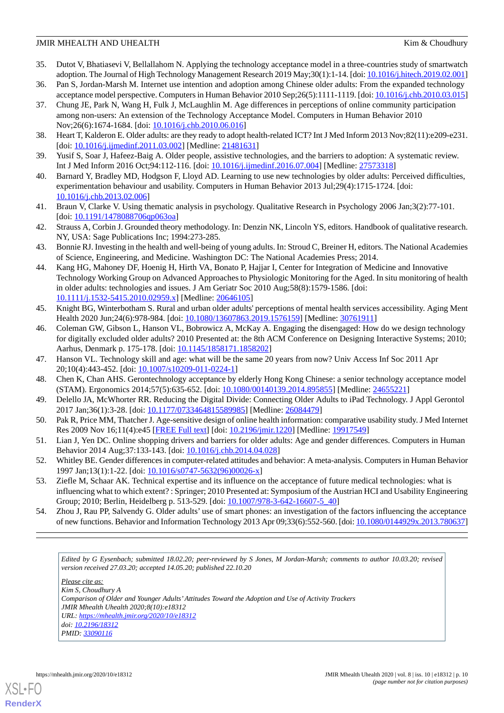- <span id="page-9-0"></span>35. Dutot V, Bhatiasevi V, Bellallahom N. Applying the technology acceptance model in a three-countries study of smartwatch adoption. The Journal of High Technology Management Research 2019 May;30(1):1-14. [doi: [10.1016/j.hitech.2019.02.001](http://dx.doi.org/10.1016/j.hitech.2019.02.001)]
- <span id="page-9-2"></span><span id="page-9-1"></span>36. Pan S, Jordan-Marsh M. Internet use intention and adoption among Chinese older adults: From the expanded technology acceptance model perspective. Computers in Human Behavior 2010 Sep;26(5):1111-1119. [doi: [10.1016/j.chb.2010.03.015\]](http://dx.doi.org/10.1016/j.chb.2010.03.015)
- 37. Chung JE, Park N, Wang H, Fulk J, McLaughlin M. Age differences in perceptions of online community participation among non-users: An extension of the Technology Acceptance Model. Computers in Human Behavior 2010 Nov;26(6):1674-1684. [doi: [10.1016/j.chb.2010.06.016\]](http://dx.doi.org/10.1016/j.chb.2010.06.016)
- <span id="page-9-4"></span><span id="page-9-3"></span>38. Heart T, Kalderon E. Older adults: are they ready to adopt health-related ICT? Int J Med Inform 2013 Nov;82(11):e209-e231. [doi: [10.1016/j.ijmedinf.2011.03.002\]](http://dx.doi.org/10.1016/j.ijmedinf.2011.03.002) [Medline: [21481631\]](http://www.ncbi.nlm.nih.gov/entrez/query.fcgi?cmd=Retrieve&db=PubMed&list_uids=21481631&dopt=Abstract)
- <span id="page-9-5"></span>39. Yusif S, Soar J, Hafeez-Baig A. Older people, assistive technologies, and the barriers to adoption: A systematic review. Int J Med Inform 2016 Oct;94:112-116. [doi: [10.1016/j.ijmedinf.2016.07.004\]](http://dx.doi.org/10.1016/j.ijmedinf.2016.07.004) [Medline: [27573318\]](http://www.ncbi.nlm.nih.gov/entrez/query.fcgi?cmd=Retrieve&db=PubMed&list_uids=27573318&dopt=Abstract)
- <span id="page-9-6"></span>40. Barnard Y, Bradley MD, Hodgson F, Lloyd AD. Learning to use new technologies by older adults: Perceived difficulties, experimentation behaviour and usability. Computers in Human Behavior 2013 Jul;29(4):1715-1724. [doi: [10.1016/j.chb.2013.02.006\]](http://dx.doi.org/10.1016/j.chb.2013.02.006)
- <span id="page-9-7"></span>41. Braun V, Clarke V. Using thematic analysis in psychology. Qualitative Research in Psychology 2006 Jan;3(2):77-101. [doi: [10.1191/1478088706qp063oa\]](http://dx.doi.org/10.1191/1478088706qp063oa)
- <span id="page-9-8"></span>42. Strauss A, Corbin J. Grounded theory methodology. In: Denzin NK, Lincoln YS, editors. Handbook of qualitative research. NY, USA: Sage Publications Inc; 1994:273-285.
- <span id="page-9-9"></span>43. Bonnie RJ. Investing in the health and well-being of young adults. In: Stroud C, Breiner H, editors. The National Academies of Science, Engineering, and Medicine. Washington DC: The National Academies Press; 2014.
- <span id="page-9-10"></span>44. Kang HG, Mahoney DF, Hoenig H, Hirth VA, Bonato P, Hajjar I, Center for Integration of Medicine and Innovative Technology Working Group on Advanced Approaches to Physiologic Monitoring for the Aged. In situ monitoring of health in older adults: technologies and issues. J Am Geriatr Soc 2010 Aug;58(8):1579-1586. [doi: [10.1111/j.1532-5415.2010.02959.x\]](http://dx.doi.org/10.1111/j.1532-5415.2010.02959.x) [Medline: [20646105\]](http://www.ncbi.nlm.nih.gov/entrez/query.fcgi?cmd=Retrieve&db=PubMed&list_uids=20646105&dopt=Abstract)
- <span id="page-9-11"></span>45. Knight BG, Winterbotham S. Rural and urban older adults' perceptions of mental health services accessibility. Aging Ment Health 2020 Jun;24(6):978-984. [doi: [10.1080/13607863.2019.1576159](http://dx.doi.org/10.1080/13607863.2019.1576159)] [Medline: [30761911](http://www.ncbi.nlm.nih.gov/entrez/query.fcgi?cmd=Retrieve&db=PubMed&list_uids=30761911&dopt=Abstract)]
- <span id="page-9-13"></span><span id="page-9-12"></span>46. Coleman GW, Gibson L, Hanson VL, Bobrowicz A, McKay A. Engaging the disengaged: How do we design technology for digitally excluded older adults? 2010 Presented at: the 8th ACM Conference on Designing Interactive Systems; 2010; Aarhus, Denmark p. 175-178. [doi: [10.1145/1858171.1858202\]](http://dx.doi.org/10.1145/1858171.1858202)
- <span id="page-9-14"></span>47. Hanson VL. Technology skill and age: what will be the same 20 years from now? Univ Access Inf Soc 2011 Apr 20;10(4):443-452. [doi: [10.1007/s10209-011-0224-1\]](http://dx.doi.org/10.1007/s10209-011-0224-1)
- <span id="page-9-15"></span>48. Chen K, Chan AHS. Gerontechnology acceptance by elderly Hong Kong Chinese: a senior technology acceptance model (STAM). Ergonomics 2014;57(5):635-652. [doi: [10.1080/00140139.2014.895855\]](http://dx.doi.org/10.1080/00140139.2014.895855) [Medline: [24655221\]](http://www.ncbi.nlm.nih.gov/entrez/query.fcgi?cmd=Retrieve&db=PubMed&list_uids=24655221&dopt=Abstract)
- <span id="page-9-16"></span>49. Delello JA, McWhorter RR. Reducing the Digital Divide: Connecting Older Adults to iPad Technology. J Appl Gerontol 2017 Jan;36(1):3-28. [doi: [10.1177/0733464815589985\]](http://dx.doi.org/10.1177/0733464815589985) [Medline: [26084479](http://www.ncbi.nlm.nih.gov/entrez/query.fcgi?cmd=Retrieve&db=PubMed&list_uids=26084479&dopt=Abstract)]
- <span id="page-9-17"></span>50. Pak R, Price MM, Thatcher J. Age-sensitive design of online health information: comparative usability study. J Med Internet Res 2009 Nov 16;11(4):e45 [[FREE Full text](https://www.jmir.org/2009/4/e45/)] [doi: [10.2196/jmir.1220](http://dx.doi.org/10.2196/jmir.1220)] [Medline: [19917549\]](http://www.ncbi.nlm.nih.gov/entrez/query.fcgi?cmd=Retrieve&db=PubMed&list_uids=19917549&dopt=Abstract)
- <span id="page-9-18"></span>51. Lian J, Yen DC. Online shopping drivers and barriers for older adults: Age and gender differences. Computers in Human Behavior 2014 Aug;37:133-143. [doi: [10.1016/j.chb.2014.04.028\]](http://dx.doi.org/10.1016/j.chb.2014.04.028)
- <span id="page-9-19"></span>52. Whitley BE. Gender differences in computer-related attitudes and behavior: A meta-analysis. Computers in Human Behavior 1997 Jan;13(1):1-22. [doi: [10.1016/s0747-5632\(96\)00026-x\]](http://dx.doi.org/10.1016/s0747-5632(96)00026-x)
- 53. Ziefle M, Schaar AK. Technical expertise and its influence on the acceptance of future medical technologies: what is influencing what to which extent? : Springer; 2010 Presented at: Symposium of the Austrian HCI and Usability Engineering Group; 2010; Berlin, Heidelberg p. 513-529. [doi: [10.1007/978-3-642-16607-5\\_40\]](http://dx.doi.org/10.1007/978-3-642-16607-5_40)
- 54. Zhou J, Rau PP, Salvendy G. Older adults' use of smart phones: an investigation of the factors influencing the acceptance of new functions. Behavior and Information Technology 2013 Apr 09;33(6):552-560. [doi: [10.1080/0144929x.2013.780637\]](http://dx.doi.org/10.1080/0144929x.2013.780637)

*Edited by G Eysenbach; submitted 18.02.20; peer-reviewed by S Jones, M Jordan-Marsh; comments to author 10.03.20; revised version received 27.03.20; accepted 14.05.20; published 22.10.20*

*Please cite as: Kim S, Choudhury A Comparison of Older and Younger Adults'Attitudes Toward the Adoption and Use of Activity Trackers JMIR Mhealth Uhealth 2020;8(10):e18312 URL: <https://mhealth.jmir.org/2020/10/e18312> doi: [10.2196/18312](http://dx.doi.org/10.2196/18312) PMID: [33090116](http://www.ncbi.nlm.nih.gov/entrez/query.fcgi?cmd=Retrieve&db=PubMed&list_uids=33090116&dopt=Abstract)*